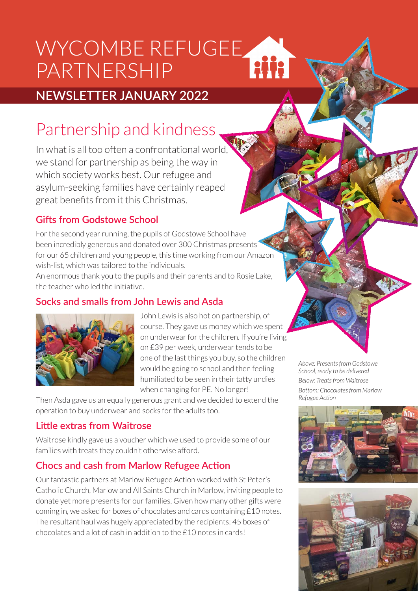# WYCOMBE REFUGEE HH PARTNERSHIP

# **NEWSLETTER JANUARY 2022**

# Partnership and kindness

In what is all too often a confrontational world, we stand for partnership as being the way in which society works best. Our refugee and asylum-seeking families have certainly reaped great benefits from it this Christmas.

## **Gifts from Godstowe School**

For the second year running, the pupils of Godstowe School have been incredibly generous and donated over 300 Christmas presents for our 65 children and young people, this time working from our Amazon wish-list, which was tailored to the individuals.

An enormous thank you to the pupils and their parents and to Rosie Lake, the teacher who led the initiative.

## **Socks and smalls from John Lewis and Asda**



John Lewis is also hot on partnership, of course. They gave us money which we spent on underwear for the children. If you're living on £39 per week, underwear tends to be one of the last things you buy, so the children would be going to school and then feeling humiliated to be seen in their tatty undies when changing for PE. No longer!

Then Asda gave us an equally generous grant and we decided to extend the operation to buy underwear and socks for the adults too.

## **Little extras from Waitrose**

Waitrose kindly gave us a voucher which we used to provide some of our families with treats they couldn't otherwise afford.

## **Chocs and cash from Marlow Refugee Action**

Our fantastic partners at Marlow Refugee Action worked with St Peter's Catholic Church, Marlow and All Saints Church in Marlow, inviting people to donate yet more presents for our families. Given how many other gifts were coming in, we asked for boxes of chocolates and cards containing £10 notes. The resultant haul was hugely appreciated by the recipients: 45 boxes of chocolates and a lot of cash in addition to the £10 notes in cards!

*Above: Presents from Godstowe School, ready to be delivered Below: Treats from Waitrose Bottom: Chocolates from Marlow Refugee Action*